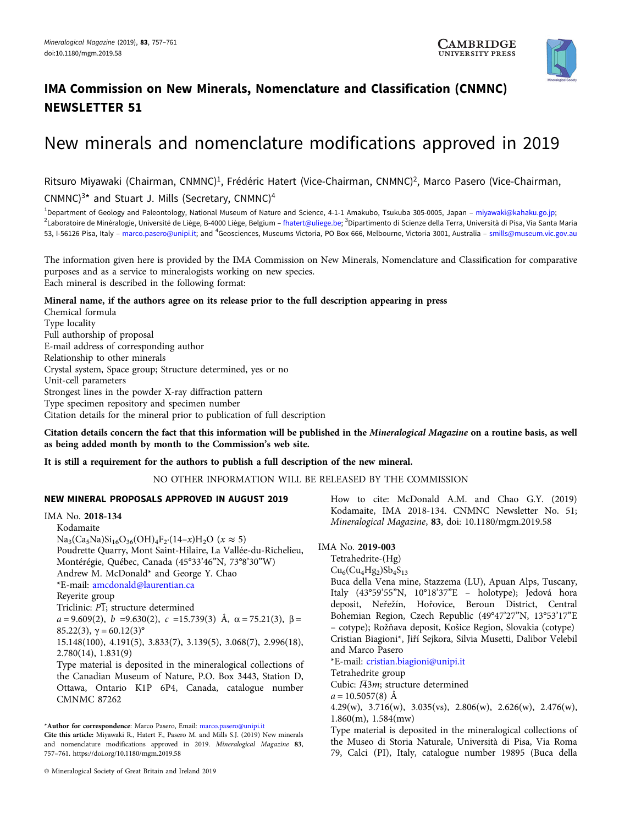

# IMA Commission on New Minerals, Nomenclature and Classification (CNMNC) NEWSLETTER 51

# New minerals and nomenclature modifications approved in 2019

Ritsuro Miyawaki (Chairman, CNMNC)<sup>1</sup>, Frédéric Hatert (Vice-Chairman, CNMNC)<sup>2</sup>, Marco Pasero (Vice-Chairman, CNMNC $3*$  and Stuart J. Mills (Secretary, CNMNC $)^4$ 

<sup>1</sup>Department of Geology and Paleontology, National Museum of Nature and Science, 4-1-1 Amakubo, Tsukuba 305-0005, Japan – [miyawaki@kahaku.go.jp](mailto:miyawaki@kahaku.go.jp); <sup>2</sup>Laboratoire de Minéralogie, Université de Liège, B-4000 Liège, Belgium – [fhatert@uliege.be](mailto:fhatert@uliege.be); <sup>3</sup>Dipartimento di Scienze della Terra, Università di Pisa, Via Santa Maria 53, I-56126 Pisa, Italy – [marco.pasero@unipi.it;](mailto:marco.pasero@unipi.it) and <sup>4</sup>Geosciences, Museums Victoria, PO Box 666, Melbourne, Victoria 3001, Australia – [smills@museum.vic.gov.au](mailto:smills@museum.vic.gov.au)

The information given here is provided by the IMA Commission on New Minerals, Nomenclature and Classification for comparative purposes and as a service to mineralogists working on new species. Each mineral is described in the following format:

# Mineral name, if the authors agree on its release prior to the full description appearing in press

Chemical formula Type locality Full authorship of proposal E-mail address of corresponding author Relationship to other minerals Crystal system, Space group; Structure determined, yes or no Unit-cell parameters Strongest lines in the powder X-ray diffraction pattern Type specimen repository and specimen number Citation details for the mineral prior to publication of full description

Citation details concern the fact that this information will be published in the Mineralogical Magazine on a routine basis, as well as being added month by month to the Commission's web site.

# It is still a requirement for the authors to publish a full description of the new mineral.

NO OTHER INFORMATION WILL BE RELEASED BY THE COMMISSION

# NEW MINERAL PROPOSALS APPROVED IN AUGUST 2019

IMA No. 2018-134 Kodamaite  $Na_3(Ca_5Na)Si_{16}O_{36}(OH)_4F_2(14-x)H_2O$  ( $x \approx 5$ ) Poudrette Quarry, Mont Saint-Hilaire, La Vallée-du-Richelieu, Montérégie, Québec, Canada (45°33'46"N, 73°8'30"W) Andrew M. McDonald\* and George Y. Chao \*E-mail: [amcdonald@laurentian.ca](mailto:amcdonald@laurentian.ca) Reyerite group Triclinic:  $P\overline{1}$ ; structure determined  $a = 9.609(2)$ ,  $b = 9.630(2)$ ,  $c = 15.739(3)$  Å,  $\alpha = 75.21(3)$ ,  $\beta =$ 85.22(3),  $γ = 60.12(3)°$ 15.148(100), 4.191(5), 3.833(7), 3.139(5), 3.068(7), 2.996(18), 2.780(14), 1.831(9) Type material is deposited in the mineralogical collections of the Canadian Museum of Nature, P.O. Box 3443, Station D, Ottawa, Ontario K1P 6P4, Canada, catalogue number CMNMC 87262

\*Author for correspondence: Marco Pasero, Email: [marco.pasero@unipi.it](mailto:marco.pasero@unipi.it) Cite this article: Miyawaki R., Hatert F., Pasero M. and Mills S.J. (2019) New minerals and nomenclature modifications approved in 2019. Mineralogical Magazine 83, 757–761.<https://doi.org/10.1180/mgm.2019.58>

© Mineralogical Society of Great Britain and Ireland 2019

How to cite: McDonald A.M. and Chao G.Y. (2019) Kodamaite, IMA 2018-134. CNMNC Newsletter No. 51; Mineralogical Magazine, 83, doi: 10.1180/mgm.2019.58

# IMA No. 2019-003

Tetrahedrite-(Hg)

 $Cu<sub>6</sub>(Cu<sub>4</sub>Hg<sub>2</sub>)Sb<sub>4</sub>S<sub>13</sub>$ Buca della Vena mine, Stazzema (LU), Apuan Alps, Tuscany, Italy (43°59'55"N, 10°18'37"E – holotype); Jedová hora deposit, Neřežín, Hořovice, Beroun District, Central Bohemian Region, Czech Republic (49°47'27"N, 13°53'17"E – cotype); Rožňava deposit, Košice Region, Slovakia (cotype) Cristian Biagioni\*, Jiří Sejkora, Silvia Musetti, Dalibor Velebil and Marco Pasero

\*E-mail: [cristian.biagioni@unipi.it](mailto:cristian.biagioni@unipi.it)

Tetrahedrite group

Cubic:  $I\overline{4}3m$ ; structure determined

 $a = 10.5057(8)$  Å

4.29(w), 3.716(w), 3.035(vs), 2.806(w), 2.626(w), 2.476(w), 1.860(m), 1.584(mw)

Type material is deposited in the mineralogical collections of the Museo di Storia Naturale, Università di Pisa, Via Roma 79, Calci (PI), Italy, catalogue number 19895 (Buca della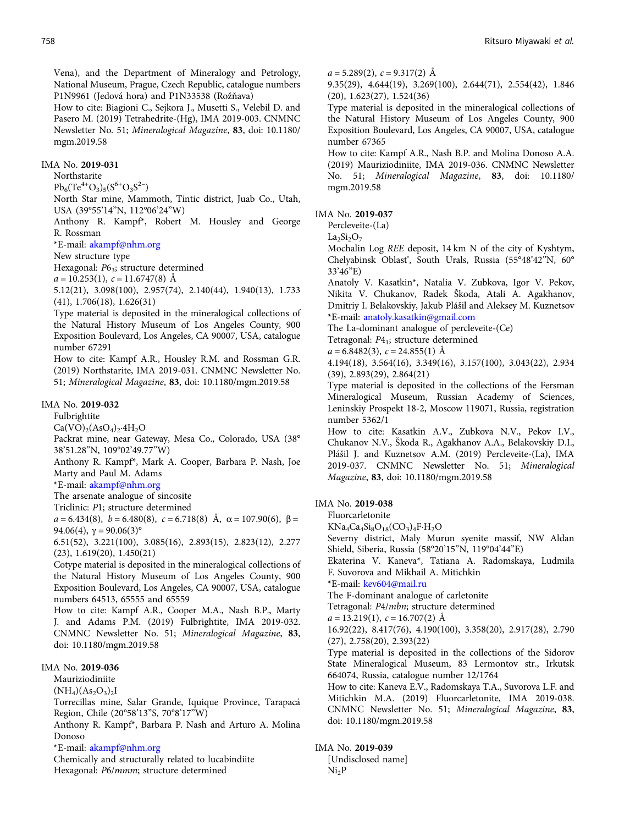Vena), and the Department of Mineralogy and Petrology, National Museum, Prague, Czech Republic, catalogue numbers P1N9961 (Jedová hora) and P1N33538 (Rožňava)

How to cite: Biagioni C., Sejkora J., Musetti S., Velebil D. and Pasero M. (2019) Tetrahedrite-(Hg), IMA 2019-003. CNMNC Newsletter No. 51; Mineralogical Magazine, 83, doi: 10.1180/ mgm.2019.58

# IMA No. 2019-031

Northstarite

 $Pb_6(Te^{4+}O_3)_5(S^{6+}O_3S^{2-})$ 

North Star mine, Mammoth, Tintic district, Juab Co., Utah, USA (39°55'14"N, 112°06'24"W)

Anthony R. Kampf\*, Robert M. Housley and George R. Rossman

\*E-mail: [akampf@nhm.org](mailto:akampf@nhm.org)

New structure type

Hexagonal:  $P6_3$ ; structure determined

 $a = 10.253(1), c = 11.6747(8)$  Å

5.12(21), 3.098(100), 2.957(74), 2.140(44), 1.940(13), 1.733 (41), 1.706(18), 1.626(31)

Type material is deposited in the mineralogical collections of the Natural History Museum of Los Angeles County, 900 Exposition Boulevard, Los Angeles, CA 90007, USA, catalogue number 67291

How to cite: Kampf A.R., Housley R.M. and Rossman G.R. (2019) Northstarite, IMA 2019-031. CNMNC Newsletter No. 51; Mineralogical Magazine, 83, doi: 10.1180/mgm.2019.58

# IMA No. 2019-032

Fulbrightite

 $Ca(VO)<sub>2</sub>(AsO<sub>4</sub>)<sub>2</sub>·4H<sub>2</sub>O$ 

Packrat mine, near Gateway, Mesa Co., Colorado, USA (38° 38'51.28"N, 109°02'49.77"W)

Anthony R. Kampf\*, Mark A. Cooper, Barbara P. Nash, Joe Marty and Paul M. Adams

\*E-mail: [akampf@nhm.org](mailto:akampf@nhm.org)

The arsenate analogue of sincosite

Triclinic: P1; structure determined

 $a = 6.434(8)$ ,  $b = 6.480(8)$ ,  $c = 6.718(8)$  Å,  $\alpha = 107.90(6)$ ,  $\beta =$ 94.06(4),  $\gamma = 90.06(3)$ °

6.51(52), 3.221(100), 3.085(16), 2.893(15), 2.823(12), 2.277 (23), 1.619(20), 1.450(21)

Cotype material is deposited in the mineralogical collections of the Natural History Museum of Los Angeles County, 900 Exposition Boulevard, Los Angeles, CA 90007, USA, catalogue numbers 64513, 65555 and 65559

How to cite: Kampf A.R., Cooper M.A., Nash B.P., Marty J. and Adams P.M. (2019) Fulbrightite, IMA 2019-032. CNMNC Newsletter No. 51; Mineralogical Magazine, 83, doi: 10.1180/mgm.2019.58

# IMA No. 2019-036

Mauriziodiniite

 $(NH_4)(As_2O_3)_2I$ 

Torrecillas mine, Salar Grande, Iquique Province, Tarapacá Region, Chile (20°58'13"S, 70°8'17"W)

Anthony R. Kampf\*, Barbara P. Nash and Arturo A. Molina Donoso

\*E-mail: [akampf@nhm.org](mailto:akampf@nhm.org)

Chemically and structurally related to lucabindiite Hexagonal: P6/mmm; structure determined

 $a = 5.289(2), c = 9.317(2)$  Å

9.35(29), 4.644(19), 3.269(100), 2.644(71), 2.554(42), 1.846 (20), 1.623(27), 1.524(36)

Type material is deposited in the mineralogical collections of the Natural History Museum of Los Angeles County, 900 Exposition Boulevard, Los Angeles, CA 90007, USA, catalogue number 67365

How to cite: Kampf A.R., Nash B.P. and Molina Donoso A.A. (2019) Mauriziodiniite, IMA 2019-036. CNMNC Newsletter No. 51; Mineralogical Magazine, 83, doi: 10.1180/ mgm.2019.58

#### IMA No. 2019-037

Percleveite-(La)

 $La<sub>2</sub>Si<sub>2</sub>O<sub>7</sub>$ 

Mochalin Log REE deposit, 14 km N of the city of Kyshtym, Chelyabinsk Oblast', South Urals, Russia (55°48'42"N, 60° 33'46"E)

Anatoly V. Kasatkin\*, Natalia V. Zubkova, Igor V. Pekov, Nikita V. Chukanov, Radek Škoda, Atali A. Agakhanov, Dmitriy I. Belakovskiy, Jakub Plášil and Aleksey M. Kuznetsov \*E-mail: [anatoly.kasatkin@gmail.com](mailto:anatoly.kasatkin@gmail.com)

The La-dominant analogue of percleveite-(Ce)

Tetragonal: P4<sub>1</sub>; structure determined

 $a = 6.8482(3), c = 24.855(1)$  Å

4.194(18), 3.564(16), 3.349(16), 3.157(100), 3.043(22), 2.934 (39), 2.893(29), 2.864(21)

Type material is deposited in the collections of the Fersman Mineralogical Museum, Russian Academy of Sciences, Leninskiy Prospekt 18-2, Moscow 119071, Russia, registration number 5362/1

How to cite: Kasatkin A.V., Zubkova N.V., Pekov I.V., Chukanov N.V., Škoda R., Agakhanov A.A., Belakovskiy D.I., Plášil J. and Kuznetsov A.M. (2019) Percleveite-(La), IMA 2019-037. CNMNC Newsletter No. 51; Mineralogical Magazine, 83, doi: 10.1180/mgm.2019.58

#### IMA No. 2019-038

Fluorcarletonite

 $KNa_4Ca_4Si_8O_{18}(CO_3)_4F·H_2O$ 

Severny district, Maly Murun syenite massif, NW Aldan Shield, Siberia, Russia (58°20'15"N, 119°04'44"E)

Ekaterina V. Kaneva\*, Tatiana A. Radomskaya, Ludmila F. Suvorova and Mikhail A. Mitichkin

\*E-mail: [kev604@mail.ru](mailto:kev604@mail.ru)

The F-dominant analogue of carletonite

Tetragonal: P4/mbn; structure determined

 $a = 13.219(1), c = 16.707(2)$  Å

16.92(22), 8.417(76), 4.190(100), 3.358(20), 2.917(28), 2.790 (27), 2.758(20), 2.393(22)

Type material is deposited in the collections of the Sidorov State Mineralogical Museum, 83 Lermontov str., Irkutsk 664074, Russia, catalogue number 12/1764

How to cite: Kaneva E.V., Radomskaya T.A., Suvorova L.F. and Mitichkin M.A. (2019) Fluorcarletonite, IMA 2019-038. CNMNC Newsletter No. 51; Mineralogical Magazine, 83, doi: 10.1180/mgm.2019.58

#### IMA No. 2019-039

[Undisclosed name]  $Ni<sub>2</sub>P$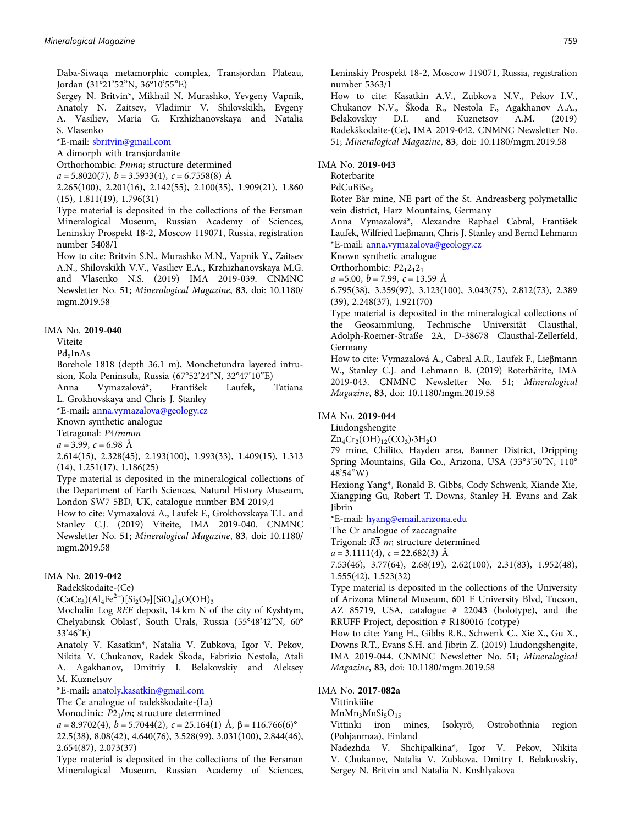Daba-Siwaqa metamorphic complex, Transjordan Plateau, Jordan (31°21'52"N, 36°10'55"E)

Sergey N. Britvin\*, Mikhail N. Murashko, Yevgeny Vapnik, Anatoly N. Zaitsev, Vladimir V. Shilovskikh, Evgeny A. Vasiliev, Maria G. Krzhizhanovskaya and Natalia S. Vlasenko

\*E-mail: [sbritvin@gmail.com](mailto:sbritvin@gmail.com)

A dimorph with transjordanite

Orthorhombic: Pnma; structure determined

 $a = 5.8020(7)$ ,  $b = 3.5933(4)$ ,  $c = 6.7558(8)$  Å

2.265(100), 2.201(16), 2.142(55), 2.100(35), 1.909(21), 1.860 (15), 1.811(19), 1.796(31)

Type material is deposited in the collections of the Fersman Mineralogical Museum, Russian Academy of Sciences, Leninskiy Prospekt 18-2, Moscow 119071, Russia, registration number 5408/1

How to cite: Britvin S.N., Murashko M.N., Vapnik Y., Zaitsev A.N., Shilovskikh V.V., Vasiliev E.A., Krzhizhanovskaya M.G. and Vlasenko N.S. (2019) IMA 2019-039. CNMNC Newsletter No. 51; Mineralogical Magazine, 83, doi: 10.1180/ mgm.2019.58

#### IMA No. 2019-040

Viteite

Pd<sub>5</sub>InAs

Borehole 1818 (depth 36.1 m), Monchetundra layered intrusion, Kola Peninsula, Russia (67°52'24"N, 32°47'10"E)

Anna Vymazalová\*, František Laufek, Tatiana L. Grokhovskaya and Chris J. Stanley

\*E-mail: [anna.vymazalova@geology.cz](mailto:anna.vymazalova@geology.cz)

Known synthetic analogue

Tetragonal: P4/mmm

 $a = 3.99$ ,  $c = 6.98$  Å

2.614(15), 2.328(45), 2.193(100), 1.993(33), 1.409(15), 1.313 (14), 1.251(17), 1.186(25)

Type material is deposited in the mineralogical collections of the Department of Earth Sciences, Natural History Museum, London SW7 5BD, UK, catalogue number BM 2019,4

How to cite: Vymazalová A., Laufek F., Grokhovskaya T.L. and Stanley C.J. (2019) Viteite, IMA 2019-040. CNMNC Newsletter No. 51; Mineralogical Magazine, 83, doi: 10.1180/ mgm.2019.58

# IMA No. 2019-042

Radekškodaite-(Ce)

 $(CaCe_5)(Al_4Fe^{2+})[Si_2O_7][SiO_4]_5O(OH)_3$ 

Mochalin Log REE deposit, 14 km N of the city of Kyshtym, Chelyabinsk Oblast', South Urals, Russia (55°48'42"N, 60° 33'46"E)

Anatoly V. Kasatkin\*, Natalia V. Zubkova, Igor V. Pekov, Nikita V. Chukanov, Radek Škoda, Fabrizio Nestola, Atali A. Agakhanov, Dmitriy I. Belakovskiy and Aleksey M. Kuznetsov

\*E-mail: [anatoly.kasatkin@gmail.com](mailto:anatoly.kasatkin@gmail.com)

The Ce analogue of radekškodaite-(La)

Monoclinic:  $P2<sub>1</sub>/m$ ; structure determined

 $a = 8.9702(4), b = 5.7044(2), c = 25.164(1)$  Å,  $\beta = 116.766(6)^\circ$ 

22.5(38), 8.08(42), 4.640(76), 3.528(99), 3.031(100), 2.844(46), 2.654(87), 2.073(37)

Type material is deposited in the collections of the Fersman Mineralogical Museum, Russian Academy of Sciences, Leninskiy Prospekt 18-2, Moscow 119071, Russia, registration number 5363/1

How to cite: Kasatkin A.V., Zubkova N.V., Pekov I.V., Chukanov N.V., Škoda R., Nestola F., Agakhanov A.A., Belakovskiy D.I. and Kuznetsov A.M. (2019) Radekškodaite-(Ce), IMA 2019-042. CNMNC Newsletter No. 51; Mineralogical Magazine, 83, doi: 10.1180/mgm.2019.58

### IMA No. 2019-043

Roterbärite

PdCuBiSe<sub>3</sub>

Roter Bär mine, NE part of the St. Andreasberg polymetallic vein district, Harz Mountains, Germany

Anna Vymazalová\*, Alexandre Raphael Cabral, František Laufek, Wilfried Lieβmann, Chris J. Stanley and Bernd Lehmann \*E-mail: [anna.vymazalova@geology.cz](mailto:anna.vymazalova@geology.cz)

Known synthetic analogue

Orthorhombic:  $P2_12_12_1$ 

 $a = 5.00, b = 7.99, c = 13.59 \text{ Å}$ 

6.795(38), 3.359(97), 3.123(100), 3.043(75), 2.812(73), 2.389 (39), 2.248(37), 1.921(70)

Type material is deposited in the mineralogical collections of the Geosammlung, Technische Universität Clausthal, Adolph-Roemer-Straße 2A, D-38678 Clausthal-Zellerfeld, Germany

How to cite: Vymazalová A., Cabral A.R., Laufek F., Lieβmann W., Stanley C.J. and Lehmann B. (2019) Roterbärite, IMA 2019-043. CNMNC Newsletter No. 51; Mineralogical Magazine, 83, doi: 10.1180/mgm.2019.58

# IMA No. 2019-044

Liudongshengite

 $Zn_4Cr_2(OH)_{12}(CO_3)\cdot 3H_2O$ 

79 mine, Chilito, Hayden area, Banner District, Dripping Spring Mountains, Gila Co., Arizona, USA (33°3'50"N, 110° 48'54"W)

Hexiong Yang\*, Ronald B. Gibbs, Cody Schwenk, Xiande Xie, Xiangping Gu, Robert T. Downs, Stanley H. Evans and Zak Jibrin

\*E-mail: [hyang@email.arizona.edu](mailto:hyang@email.arizona.edu)

The Cr analogue of zaccagnaite

Trigonal:  $R\overline{3}$  m; structure determined

 $a = 3.1111(4)$ ,  $c = 22.682(3)$  Å

7.53(46), 3.77(64), 2.68(19), 2.62(100), 2.31(83), 1.952(48), 1.555(42), 1.523(32)

Type material is deposited in the collections of the University of Arizona Mineral Museum, 601 E University Blvd, Tucson, AZ 85719, USA, catalogue # 22043 (holotype), and the RRUFF Project, deposition # R180016 (cotype)

How to cite: Yang H., Gibbs R.B., Schwenk C., Xie X., Gu X., Downs R.T., Evans S.H. and Jibrin Z. (2019) Liudongshengite, IMA 2019-044. CNMNC Newsletter No. 51; Mineralogical Magazine, 83, doi: 10.1180/mgm.2019.58

#### IMA No. 2017-082a

Vittinkiiite

 $MnMn_3MnSi_5O_{15}$ 

Vittinki iron mines, Isokyrö, Ostrobothnia region (Pohjanmaa), Finland

Nadezhda V. Shchipalkina\*, Igor V. Pekov, Nikita V. Chukanov, Natalia V. Zubkova, Dmitry I. Belakovskiy, Sergey N. Britvin and Natalia N. Koshlyakova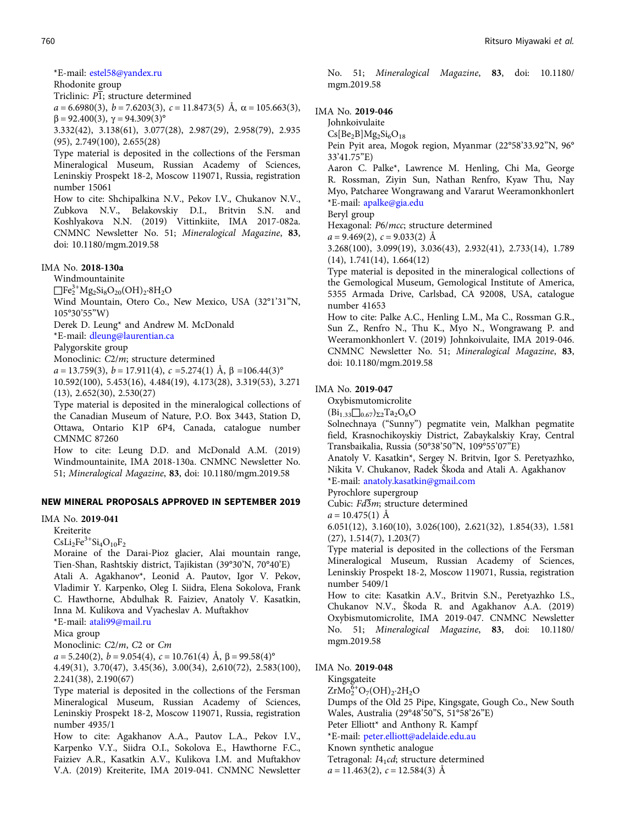\*E-mail: [estel58@yandex.ru](mailto:estel58@yandex.ru)

Rhodonite group

Triclinic:  $\overline{PI}$ ; structure determined

 $a = 6.6980(3), b = 7.6203(3), c = 11.8473(5)$  Å,  $\alpha = 105.663(3),$  $β = 92.400(3), γ = 94.309(3)°$ 

3.332(42), 3.138(61), 3.077(28), 2.987(29), 2.958(79), 2.935 (95), 2.749(100), 2.655(28)

Type material is deposited in the collections of the Fersman Mineralogical Museum, Russian Academy of Sciences, Leninskiy Prospekt 18-2, Moscow 119071, Russia, registration number 15061

How to cite: Shchipalkina N.V., Pekov I.V., Chukanov N.V., Zubkova N.V., Belakovskiy D.I., Britvin S.N. and Koshlyakova N.N. (2019) Vittinkiite, IMA 2017-082a. CNMNC Newsletter No. 51; Mineralogical Magazine, 83, doi: 10.1180/mgm.2019.58

#### IMA No. 2018-130a

Windmountainite

 $\Box$ Fe<sub>2</sub><sup>3+</sup>Mg<sub>2</sub>Si<sub>8</sub>O<sub>20</sub>(OH)<sub>2</sub>·8H<sub>2</sub>O

Wind Mountain, Otero Co., New Mexico, USA (32°1'31"N, 105°30'55"W)

Derek D. Leung\* and Andrew M. McDonald

\*E-mail: [dleung@laurentian.ca](mailto:dleung@laurentian.ca)

Palygorskite group

Monoclinic: C2/m; structure determined

 $a = 13.759(3)$ ,  $b = 17.911(4)$ ,  $c = 5.274(1)$  Å,  $\beta = 106.44(3)$ °

10.592(100), 5.453(16), 4.484(19), 4.173(28), 3.319(53), 3.271 (13), 2.652(30), 2.530(27)

Type material is deposited in the mineralogical collections of the Canadian Museum of Nature, P.O. Box 3443, Station D, Ottawa, Ontario K1P 6P4, Canada, catalogue number CMNMC 87260

How to cite: Leung D.D. and McDonald A.M. (2019) Windmountainite, IMA 2018-130a. CNMNC Newsletter No. 51; Mineralogical Magazine, 83, doi: 10.1180/mgm.2019.58

# NEW MINERAL PROPOSALS APPROVED IN SEPTEMBER 2019

# IMA No. 2019-041

Kreiterite

 $CsLi<sub>2</sub>Fe<sup>3+</sup>Si<sub>4</sub>O<sub>10</sub>F<sub>2</sub>$ 

Moraine of the Darai-Pioz glacier, Alai mountain range, Tien-Shan, Rashtskiy district, Tajikistan (39°30'N, 70°40'E) Atali A. Agakhanov\*, Leonid A. Pautov, Igor V. Pekov, Vladimir Y. Karpenko, Oleg I. Siidra, Elena Sokolova, Frank C. Hawthorne, Abdulhak R. Faiziev, Anatoly V. Kasatkin, Inna M. Kulikova and Vyacheslav A. Muftakhov

\*E-mail: [atali99@mail.ru](mailto:atali99@mail.ru)

Mica group

Monoclinic: C2/m, C2 or Cm

 $a = 5.240(2), b = 9.054(4), c = 10.761(4)$  Å,  $\beta = 99.58(4)$ °

4.49(31), 3.70(47), 3.45(36), 3.00(34), 2,610(72), 2.583(100), 2.241(38), 2.190(67)

Type material is deposited in the collections of the Fersman Mineralogical Museum, Russian Academy of Sciences, Leninskiy Prospekt 18-2, Moscow 119071, Russia, registration number 4935/1

How to cite: Agakhanov A.A., Pautov L.A., Pekov I.V., Karpenko V.Y., Siidra O.I., Sokolova E., Hawthorne F.C., Faiziev A.R., Kasatkin A.V., Kulikova I.M. and Muftakhov V.A. (2019) Kreiterite, IMA 2019-041. CNMNC Newsletter No. 51; Mineralogical Magazine, 83, doi: 10.1180/ mgm.2019.58

# IMA No. 2019-046

Johnkoivulaite

 $Cs[Be<sub>2</sub>B]Mg<sub>2</sub>Si<sub>6</sub>O<sub>18</sub>$ 

Pein Pyit area, Mogok region, Myanmar (22°58'33.92"N, 96° 33'41.75"E)

Aaron C. Palke\*, Lawrence M. Henling, Chi Ma, George R. Rossman, Ziyin Sun, Nathan Renfro, Kyaw Thu, Nay Myo, Patcharee Wongrawang and Vararut Weeramonkhonlert \*E-mail: [apalke@gia.edu](mailto:apalke@gia.edu)

Beryl group

Hexagonal: P6/mcc; structure determined

 $a = 9.469(2), c = 9.033(2)$  Å

3.268(100), 3.099(19), 3.036(43), 2.932(41), 2.733(14), 1.789 (14), 1.741(14), 1.664(12)

Type material is deposited in the mineralogical collections of the Gemological Museum, Gemological Institute of America, 5355 Armada Drive, Carlsbad, CA 92008, USA, catalogue number 41653

How to cite: Palke A.C., Henling L.M., Ma C., Rossman G.R., Sun Z., Renfro N., Thu K., Myo N., Wongrawang P. and Weeramonkhonlert V. (2019) Johnkoivulaite, IMA 2019-046. CNMNC Newsletter No. 51; Mineralogical Magazine, 83, doi: 10.1180/mgm.2019.58

#### IMA No. 2019-047

Oxybismutomicrolite

 $(Bi_{1.33}\Box_{0.67})_{\Sigma2}Ta_2O_6O$ 

Solnechnaya ("Sunny") pegmatite vein, Malkhan pegmatite field, Krasnochikoyskiy District, Zabaykalskiy Kray, Central Transbaikalia, Russia (50°38'50"N, 109°55'07"E)

Anatoly V. Kasatkin\*, Sergey N. Britvin, Igor S. Peretyazhko, Nikita V. Chukanov, Radek Škoda and Atali A. Agakhanov \*E-mail: [anatoly.kasatkin@gmail.com](mailto:anatoly.kasatkin@gmail.com)

Pyrochlore supergroup

Cubic:  $Fd\overline{3}m$ ; structure determined

 $a = 10.475(1)$  Å

6.051(12), 3.160(10), 3.026(100), 2.621(32), 1.854(33), 1.581 (27), 1.514(7), 1.203(7)

Type material is deposited in the collections of the Fersman Mineralogical Museum, Russian Academy of Sciences, Leninskiy Prospekt 18-2, Moscow 119071, Russia, registration number 5409/1

How to cite: Kasatkin A.V., Britvin S.N., Peretyazhko I.S., Chukanov N.V., Škoda R. and Agakhanov A.A. (2019) Oxybismutomicrolite, IMA 2019-047. CNMNC Newsletter No. 51; Mineralogical Magazine, 83, doi: 10.1180/ mgm.2019.58

#### IMA No. 2019-048

Kingsgateite

 $ZrMo_{2}^{\overline{6}+}O_{7}(OH)_{2}\cdot 2H_{2}O$ 

Dumps of the Old 25 Pipe, Kingsgate, Gough Co., New South Wales, Australia (29°48'50"S, 51°58'26"E)

Peter Elliott\* and Anthony R. Kampf

\*E-mail: [peter.elliott@adelaide.edu.au](mailto:peter.elliott@adelaide.edu.au)

Known synthetic analogue

Tetragonal: I41cd; structure determined

 $a = 11.463(2), c = 12.584(3)$  Å